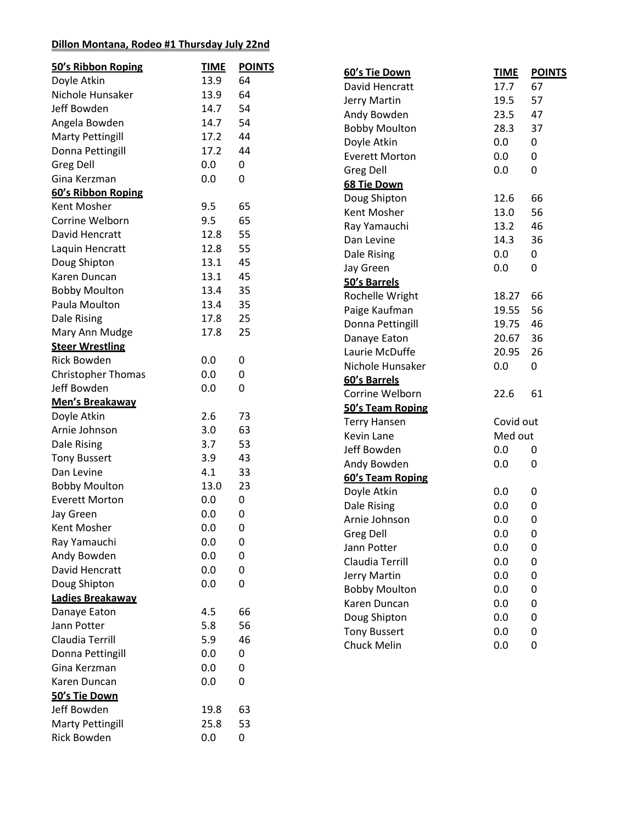### **Dillon Montana, Rodeo #1 Thursday July 22nd**

| 50's Ribbon Roping        | <b>TIME</b> | <b>POINTS</b> | 60's Tie Down         | <b>TIME</b> | <b>POINTS</b> |
|---------------------------|-------------|---------------|-----------------------|-------------|---------------|
| Doyle Atkin               | 13.9        | 64            | David Hencratt        | 17.7        | 67            |
| Nichole Hunsaker          | 13.9        | 64            | Jerry Martin          | 19.5        | 57            |
| Jeff Bowden               | 14.7        | 54            | Andy Bowden           | 23.5        | 47            |
| Angela Bowden             | 14.7        | 54            | <b>Bobby Moulton</b>  | 28.3        | 37            |
| <b>Marty Pettingill</b>   | 17.2        | 44            | Doyle Atkin           | 0.0         | 0             |
| Donna Pettingill          | 17.2        | 44            | <b>Everett Morton</b> | 0.0         | 0             |
| <b>Greg Dell</b>          | 0.0         | 0             | Greg Dell             | 0.0         | 0             |
| Gina Kerzman              | 0.0         | 0             | 68 Tie Down           |             |               |
| 60's Ribbon Roping        |             |               | Doug Shipton          | 12.6        | 66            |
| Kent Mosher               | 9.5         | 65            | Kent Mosher           | 13.0        | 56            |
| Corrine Welborn           | 9.5         | 65            | Ray Yamauchi          | 13.2        | 46            |
| David Hencratt            | 12.8        | 55            | Dan Levine            | 14.3        | 36            |
| Laquin Hencratt           | 12.8        | 55            | Dale Rising           | 0.0         | 0             |
| Doug Shipton              | 13.1        | 45            | Jay Green             | 0.0         | 0             |
| Karen Duncan              | 13.1        | 45            | 50's Barrels          |             |               |
| <b>Bobby Moulton</b>      | 13.4        | 35            | Rochelle Wright       | 18.27       | 66            |
| Paula Moulton             | 13.4        | 35            | Paige Kaufman         | 19.55       | 56            |
| Dale Rising               | 17.8        | 25            | Donna Pettingill      | 19.75       | 46            |
| Mary Ann Mudge            | 17.8        | 25            | Danaye Eaton          | 20.67       | 36            |
| <b>Steer Wrestling</b>    |             |               | Laurie McDuffe        | 20.95       | 26            |
| <b>Rick Bowden</b>        | 0.0         | 0             | Nichole Hunsaker      | 0.0         | 0             |
| <b>Christopher Thomas</b> | 0.0         | $\pmb{0}$     | 60's Barrels          |             |               |
| Jeff Bowden               | 0.0         | 0             | Corrine Welborn       | 22.6        | 61            |
| Men's Breakaway           |             |               | 50's Team Roping      |             |               |
| Doyle Atkin               | 2.6         | 73            | <b>Terry Hansen</b>   | Covid out   |               |
| Arnie Johnson             | 3.0         | 63            | Kevin Lane            | Med out     |               |
| Dale Rising               | 3.7         | 53            | Jeff Bowden           | 0.0         | 0             |
| <b>Tony Bussert</b>       | 3.9         | 43            | Andy Bowden           | 0.0         | 0             |
| Dan Levine                | 4.1         | 33            | 60's Team Roping      |             |               |
| <b>Bobby Moulton</b>      | 13.0        | 23            | Doyle Atkin           | 0.0         | 0             |
| <b>Everett Morton</b>     | 0.0         | 0             | Dale Rising           | 0.0         | 0             |
| Jay Green                 | 0.0         | 0             | Arnie Johnson         | 0.0         | 0             |
| Kent Mosher               | 0.0         | 0             | <b>Greg Dell</b>      | 0.0         | 0             |
| Ray Yamauchi              | 0.0         | 0             | Jann Potter           | 0.0         | 0             |
| Andy Bowden               | 0.0         | 0             | Claudia Terrill       | 0.0         | 0             |
| David Hencratt            | 0.0         | $\pmb{0}$     | Jerry Martin          | 0.0         | 0             |
| Doug Shipton              | 0.0         | 0             | <b>Bobby Moulton</b>  | 0.0         | 0             |
| Ladies Breakaway          |             |               | Karen Duncan          | 0.0         | 0             |
| Danaye Eaton              | 4.5         | 66            | Doug Shipton          | 0.0         | 0             |
| Jann Potter               | 5.8         | 56            | <b>Tony Bussert</b>   | 0.0         | 0             |
| Claudia Terrill           | 5.9         | 46            | Chuck Melin           | 0.0         | $\pmb{0}$     |
| Donna Pettingill          | 0.0         | 0             |                       |             |               |
| Gina Kerzman              | 0.0         | 0             |                       |             |               |
| Karen Duncan              | 0.0         | 0             |                       |             |               |
| 50's Tie Down             |             |               |                       |             |               |
| Jeff Bowden               | 19.8        | 63            |                       |             |               |
| <b>Marty Pettingill</b>   | 25.8        | 53            |                       |             |               |
| Rick Bowden               | 0.0         | 0             |                       |             |               |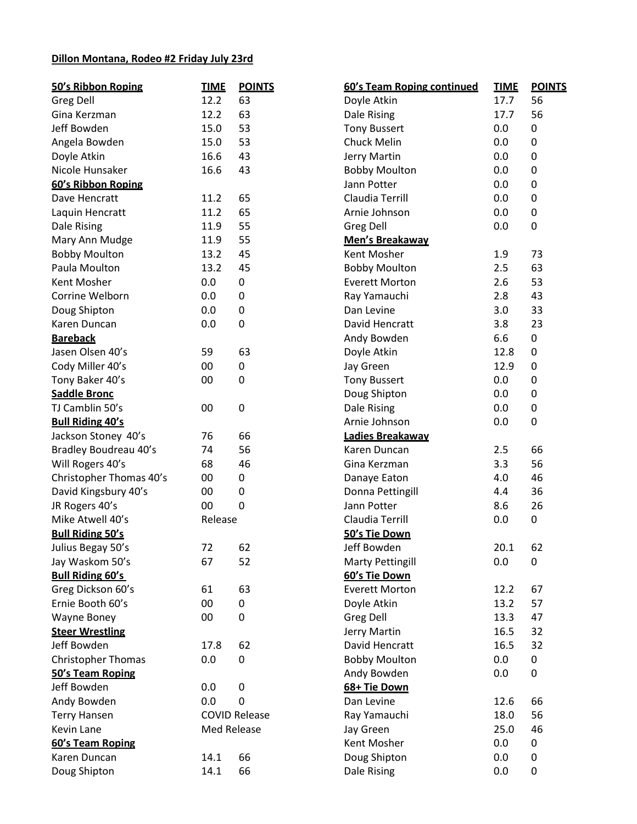### **Dillon Montana, Rodeo #2 Friday July 23rd**

| 50's Ribbon Roping      | <b>TIME</b>        | <b>POINTS</b>        | 60's Team Roping continued | <b>TIME</b> | <b>POINTS</b> |
|-------------------------|--------------------|----------------------|----------------------------|-------------|---------------|
| <b>Greg Dell</b>        | 12.2               | 63                   | Doyle Atkin                | 17.7        | 56            |
| Gina Kerzman            | 12.2               | 63                   | Dale Rising                | 17.7        | 56            |
| Jeff Bowden             | 15.0               | 53                   | <b>Tony Bussert</b>        |             | 0             |
| Angela Bowden           | 15.0               | 53                   | <b>Chuck Melin</b>         | 0.0         | 0             |
| Doyle Atkin             | 16.6               | 43                   | Jerry Martin               | 0.0         | 0             |
| Nicole Hunsaker         | 16.6               | 43                   | <b>Bobby Moulton</b>       | 0.0         | 0             |
| 60's Ribbon Roping      |                    |                      | Jann Potter                | 0.0         | 0             |
| Dave Hencratt           | 11.2               | 65                   | Claudia Terrill            | 0.0         | 0             |
| Laquin Hencratt         | 11.2               | 65                   | Arnie Johnson              | 0.0         | 0             |
| Dale Rising             | 11.9               | 55                   | <b>Greg Dell</b>           | 0.0         | 0             |
| Mary Ann Mudge          | 11.9               | 55                   | Men's Breakaway            |             |               |
| <b>Bobby Moulton</b>    | 13.2               | 45                   | Kent Mosher                | 1.9         | 73            |
| Paula Moulton           | 13.2               | 45                   | <b>Bobby Moulton</b>       | 2.5         | 63            |
| Kent Mosher             | 0.0                | 0                    | <b>Everett Morton</b>      | 2.6         | 53            |
| Corrine Welborn         | 0.0                | 0                    | Ray Yamauchi               | 2.8         | 43            |
| Doug Shipton            | 0.0                | 0                    | Dan Levine                 | 3.0         | 33            |
| Karen Duncan            | 0.0                | 0                    | David Hencratt             | 3.8         | 23            |
| <b>Bareback</b>         |                    |                      | Andy Bowden                | 6.6         | 0             |
| Jasen Olsen 40's        | 59                 | 63                   | Doyle Atkin                | 12.8        | $\pmb{0}$     |
| Cody Miller 40's        | 00                 | 0                    | Jay Green                  | 12.9        | $\pmb{0}$     |
| Tony Baker 40's         | 00                 | 0                    | <b>Tony Bussert</b>        | 0.0         | 0             |
| <b>Saddle Bronc</b>     |                    |                      | Doug Shipton               | 0.0         | 0             |
| TJ Camblin 50's         | 00                 | 0                    | Dale Rising                | 0.0         | 0             |
| <b>Bull Riding 40's</b> |                    |                      | Arnie Johnson              | 0.0         | 0             |
| Jackson Stoney 40's     | 76                 | 66                   | Ladies Breakaway           |             |               |
| Bradley Boudreau 40's   | 74                 | 56                   | Karen Duncan               | 2.5         | 66            |
| Will Rogers 40's        | 68                 | 46                   | Gina Kerzman               | 3.3         | 56            |
| Christopher Thomas 40's | 00                 | $\pmb{0}$            | Danaye Eaton               | 4.0         | 46            |
| David Kingsbury 40's    | 00                 | 0                    | Donna Pettingill           | 4.4         | 36            |
| JR Rogers 40's          | 00                 | $\mathbf 0$          | Jann Potter                | 8.6         | 26            |
| Mike Atwell 40's        | Release            |                      | Claudia Terrill            | 0.0         | 0             |
| <b>Bull Riding 50's</b> |                    |                      | 50's Tie Down              |             |               |
| Julius Begay 50's       | 72                 | 62                   | Jeff Bowden                | 20.1        | 62            |
| Jay Waskom 50's         | 67                 | 52                   | <b>Marty Pettingill</b>    | 0.0         | 0             |
| <b>Bull Riding 60's</b> |                    |                      | 60's Tie Down              |             |               |
| Greg Dickson 60's       | 61                 | 63                   | <b>Everett Morton</b>      | 12.2        | 67            |
| Ernie Booth 60's        | 00                 | 0                    | Doyle Atkin                | 13.2        | 57            |
| Wayne Boney             | 00                 | 0                    | <b>Greg Dell</b>           | 13.3        | 47            |
| <b>Steer Wrestling</b>  |                    |                      | Jerry Martin               | 16.5        | 32            |
| Jeff Bowden             | 17.8               | 62                   | David Hencratt             | 16.5        | 32            |
| Christopher Thomas      | 0.0                | 0                    | <b>Bobby Moulton</b>       | 0.0         | 0             |
| 50's Team Roping        |                    |                      | Andy Bowden                | 0.0         | 0             |
| Jeff Bowden             | 0.0                | 0                    | 68+ Tie Down               |             |               |
| Andy Bowden             | 0.0                | 0                    | Dan Levine                 | 12.6        | 66            |
| <b>Terry Hansen</b>     |                    | <b>COVID Release</b> | Ray Yamauchi               | 18.0        | 56            |
| Kevin Lane              | <b>Med Release</b> |                      | Jay Green                  | 25.0        | 46            |
| 60's Team Roping        |                    |                      | Kent Mosher                | 0.0         | 0             |
| Karen Duncan            | 14.1               | 66                   | Doug Shipton               | 0.0         | 0             |
| Doug Shipton            | 14.1               | 66                   | Dale Rising                | 0.0         | 0             |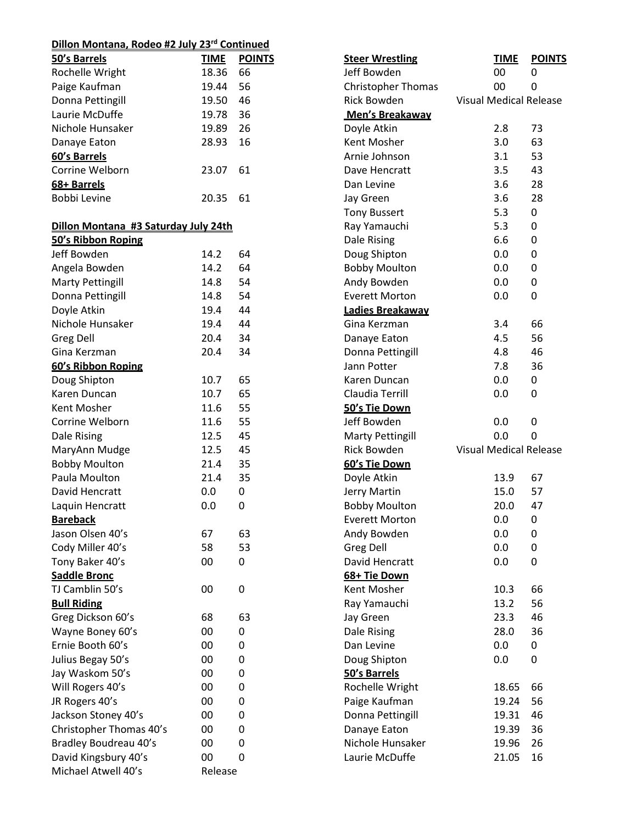# **Dillon Montana, Rodeo #2 July 23rd Continued**

| 50's Barrels                         | <b>TIME</b> | <b>POINTS</b> | <b>Steer Wrestling</b>    | <b>TIME</b>                   | <b>POINTS</b> |
|--------------------------------------|-------------|---------------|---------------------------|-------------------------------|---------------|
| Rochelle Wright                      | 18.36       | 66            | Jeff Bowden               | 00                            | 0             |
| Paige Kaufman                        | 19.44       | 56            | <b>Christopher Thomas</b> | 00                            | 0             |
| Donna Pettingill                     | 19.50       | 46            | Rick Bowden               | <b>Visual Medical Release</b> |               |
| Laurie McDuffe                       | 19.78       | 36            | Men's Breakaway           |                               |               |
| Nichole Hunsaker                     | 19.89       | 26            | Doyle Atkin               | 2.8                           | 73            |
| Danaye Eaton                         | 28.93       | 16            | Kent Mosher               | 3.0                           | 63            |
| 60's Barrels                         |             |               | Arnie Johnson             | 3.1                           | 53            |
| Corrine Welborn                      | 23.07       | 61            | Dave Hencratt             | 3.5                           | 43            |
| 68+ Barrels                          |             |               | Dan Levine                | 3.6                           | 28            |
| Bobbi Levine                         | 20.35       | 61            | Jay Green                 | 3.6                           | 28            |
|                                      |             |               | <b>Tony Bussert</b>       | 5.3                           | 0             |
| Dillon Montana #3 Saturday July 24th |             |               | Ray Yamauchi              | 5.3                           | 0             |
| 50's Ribbon Roping                   |             |               | Dale Rising               | 6.6                           | 0             |
| Jeff Bowden                          | 14.2        | 64            | Doug Shipton              | 0.0                           | 0             |
| Angela Bowden                        | 14.2        | 64            | <b>Bobby Moulton</b>      | 0.0                           | 0             |
| <b>Marty Pettingill</b>              | 14.8        | 54            | Andy Bowden               | 0.0                           | $\pmb{0}$     |
| Donna Pettingill                     | 14.8        | 54            | <b>Everett Morton</b>     | 0.0                           | 0             |
| Doyle Atkin                          | 19.4        | 44            | Ladies Breakaway          |                               |               |
| Nichole Hunsaker                     | 19.4        | 44            | Gina Kerzman              | 3.4                           | 66            |
| Greg Dell                            | 20.4        | 34            | Danaye Eaton              | 4.5                           | 56            |
| Gina Kerzman                         | 20.4        | 34            | Donna Pettingill          | 4.8                           | 46            |
| 60's Ribbon Roping                   |             |               | Jann Potter               | 7.8                           | 36            |
| Doug Shipton                         | 10.7        | 65            | Karen Duncan              | 0.0                           | 0             |
| Karen Duncan                         | 10.7        | 65            | Claudia Terrill           | 0.0                           | 0             |
| Kent Mosher                          | 11.6        | 55            | 50's Tie Down             |                               |               |
| Corrine Welborn                      | 11.6        | 55            | Jeff Bowden               | 0.0                           | 0             |
| Dale Rising                          | 12.5        | 45            | <b>Marty Pettingill</b>   | 0.0                           | 0             |
| MaryAnn Mudge                        | 12.5        | 45            | <b>Rick Bowden</b>        | <b>Visual Medical Release</b> |               |
| <b>Bobby Moulton</b>                 | 21.4        | 35            | 60's Tie Down             |                               |               |
| Paula Moulton                        | 21.4        | 35            | Doyle Atkin               | 13.9                          | 67            |
| David Hencratt                       | 0.0         | 0             | Jerry Martin              | 15.0                          | 57            |
| Laquin Hencratt                      | 0.0         | 0             | <b>Bobby Moulton</b>      | 20.0                          | 47            |
| <b>Bareback</b>                      |             |               | <b>Everett Morton</b>     | 0.0                           | 0             |
| Jason Olsen 40's                     | 67          | 63            | Andy Bowden               | 0.0                           | 0             |
| Cody Miller 40's                     | 58          | 53            | <b>Greg Dell</b>          | 0.0                           | 0             |
| Tony Baker 40's                      | 00          | 0             | David Hencratt            | 0.0                           | 0             |
| <b>Saddle Bronc</b>                  |             |               | 68+ Tie Down              |                               |               |
| TJ Camblin 50's                      | 00          | $\mathbf 0$   | Kent Mosher               | 10.3                          | 66            |
| <b>Bull Riding</b>                   |             |               | Ray Yamauchi              | 13.2                          | 56            |
| Greg Dickson 60's                    | 68          | 63            | Jay Green                 | 23.3                          | 46            |
| Wayne Boney 60's                     | 00          | 0             | Dale Rising               | 28.0                          | 36            |
| Ernie Booth 60's                     | 00          | 0             | Dan Levine                | 0.0                           | 0             |
| Julius Begay 50's                    | 00          | $\mathbf 0$   | Doug Shipton              | 0.0                           | 0             |
| Jay Waskom 50's                      | 00          | 0             | 50's Barrels              |                               |               |
| Will Rogers 40's                     | 00          | $\mathbf 0$   | Rochelle Wright           | 18.65                         | 66            |
| JR Rogers 40's                       | 00          | 0             | Paige Kaufman             | 19.24                         | 56            |
| Jackson Stoney 40's                  | 00          | 0             | Donna Pettingill          | 19.31                         | 46            |
| Christopher Thomas 40's              | 00          | 0             | Danaye Eaton              | 19.39                         | 36            |
| Bradley Boudreau 40's                | 00          | $\mathbf 0$   | Nichole Hunsaker          | 19.96                         | 26            |
| David Kingsbury 40's                 | 00          | $\mathbf 0$   | Laurie McDuffe            | 21.05                         | 16            |
| Michael Atwell 40's                  | Release     |               |                           |                               |               |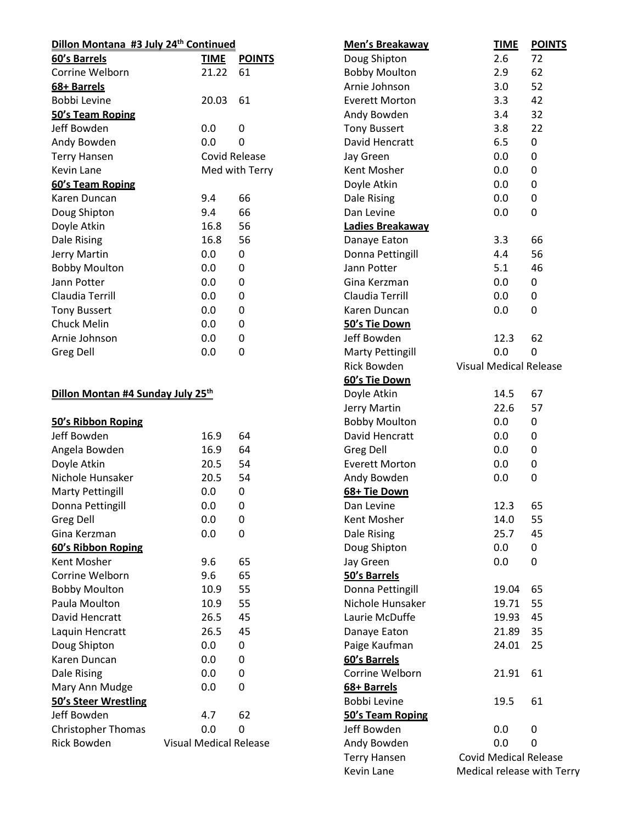| Dillon Montana #3 July 24 <sup>th</sup> Continued |                               |                | Men's Breakaway         | <b>TIME</b>        | $\underline{\mathsf{PC}}$ |
|---------------------------------------------------|-------------------------------|----------------|-------------------------|--------------------|---------------------------|
| 60's Barrels                                      | <b>TIME</b>                   | <b>POINTS</b>  | Doug Shipton            | 2.6                | 72                        |
| Corrine Welborn                                   | 21.22                         | 61             | <b>Bobby Moulton</b>    | 2.9                | 62                        |
| 68+ Barrels                                       |                               |                | Arnie Johnson           | 3.0                | 52                        |
| Bobbi Levine                                      | 20.03                         | 61             | <b>Everett Morton</b>   | 3.3                | 42                        |
| 50's Team Roping                                  |                               |                | Andy Bowden             | 3.4                | 32                        |
| Jeff Bowden                                       | 0.0                           | $\pmb{0}$      | <b>Tony Bussert</b>     | 3.8                | 22                        |
| Andy Bowden                                       | 0.0                           | $\mathbf{0}$   | David Hencratt          | 6.5                | 0                         |
| <b>Terry Hansen</b>                               |                               | Covid Release  | Jay Green               | 0.0                | 0                         |
| Kevin Lane                                        |                               | Med with Terry | Kent Mosher             | 0.0                | $\pmb{0}$                 |
| 60's Team Roping                                  |                               |                | Doyle Atkin             | 0.0                | $\pmb{0}$                 |
| Karen Duncan                                      | 9.4                           | 66             | Dale Rising             | 0.0                | 0                         |
| Doug Shipton                                      | 9.4                           | 66             | Dan Levine              | 0.0                | $\mathbf 0$               |
| Doyle Atkin                                       | 16.8                          | 56             | Ladies Breakaway        |                    |                           |
| Dale Rising                                       | 16.8                          | 56             | Danaye Eaton            | 3.3                | 66                        |
| Jerry Martin                                      | 0.0                           | 0              | Donna Pettingill        | 4.4                | 56                        |
| <b>Bobby Moulton</b>                              | 0.0                           | $\mathbf 0$    | Jann Potter             | 5.1                | 46                        |
| Jann Potter                                       | 0.0                           | $\mathbf 0$    | Gina Kerzman            | 0.0                | 0                         |
| Claudia Terrill                                   | 0.0                           | $\pmb{0}$      | Claudia Terrill         | 0.0                | 0                         |
| <b>Tony Bussert</b>                               | 0.0                           | 0              | Karen Duncan            | 0.0                | $\mathbf 0$               |
| Chuck Melin                                       | 0.0                           | 0              | 50's Tie Down           |                    |                           |
| Arnie Johnson                                     | 0.0                           | $\mathbf 0$    | Jeff Bowden             | 12.3               | 62                        |
| Greg Dell                                         | 0.0                           | $\pmb{0}$      | <b>Marty Pettingill</b> | 0.0                | $\mathbf{0}$              |
|                                                   |                               |                | Rick Bowden             | Visual Medical Rel |                           |
|                                                   |                               |                | 60's Tie Down           |                    |                           |
| Dillon Montan #4 Sunday July 25th                 |                               |                | Doyle Atkin             | 14.5               | 67                        |
|                                                   |                               |                | Jerry Martin            | 22.6               | 57                        |
| 50's Ribbon Roping                                |                               |                | <b>Bobby Moulton</b>    | 0.0                | 0                         |
| Jeff Bowden                                       | 16.9                          | 64             | David Hencratt          | 0.0                | 0                         |
| Angela Bowden                                     | 16.9                          | 64             | Greg Dell               | 0.0                | 0                         |
| Doyle Atkin                                       | 20.5                          | 54             | <b>Everett Morton</b>   | 0.0                | $\pmb{0}$                 |
| Nichole Hunsaker                                  | 20.5                          | 54             | Andy Bowden             | 0.0                | 0                         |
| <b>Marty Pettingill</b>                           | 0.0                           | 0              | 68+ Tie Down            |                    |                           |
| Donna Pettingill                                  | 0.0                           | 0              | Dan Levine              | 12.3               | 65                        |
| <b>Greg Dell</b>                                  | 0.0                           | 0              | Kent Mosher             | 14.0               | 55                        |
| Gina Kerzman                                      | 0.0                           | 0              | Dale Rising             | 25.7               | 45                        |
| 60's Ribbon Roping                                |                               |                | Doug Shipton            | 0.0                | 0                         |
| Kent Mosher                                       | 9.6                           | 65             | Jay Green               | 0.0                | 0                         |
| Corrine Welborn                                   | 9.6                           | 65             | 50's Barrels            |                    |                           |
| <b>Bobby Moulton</b>                              | 10.9                          | 55             | Donna Pettingill        | 19.04              | 65                        |
| Paula Moulton                                     |                               | 55             | Nichole Hunsaker        |                    |                           |
|                                                   | 10.9                          |                |                         | 19.71              | 55                        |
| David Hencratt                                    | 26.5                          | 45             | Laurie McDuffe          | 19.93              | 45                        |
| Laquin Hencratt                                   | 26.5                          | 45             | Danaye Eaton            | 21.89              | 35                        |
| Doug Shipton                                      | 0.0                           | 0              | Paige Kaufman           | 24.01              | 25                        |
| Karen Duncan                                      | 0.0                           | 0              | 60's Barrels            |                    |                           |
| Dale Rising                                       | 0.0                           | 0              | Corrine Welborn         | 21.91              | 61                        |
| Mary Ann Mudge                                    | 0.0                           | 0              | 68+ Barrels             |                    |                           |
| <b>50's Steer Wrestling</b>                       |                               |                | Bobbi Levine            | 19.5               | 61                        |
| Jeff Bowden                                       | 4.7                           | 62             | 50's Team Roping        |                    |                           |
| <b>Christopher Thomas</b>                         | 0.0                           | 0              | Jeff Bowden             | 0.0                | 0                         |
| Rick Bowden                                       | <b>Visual Medical Release</b> |                | Andy Bowden             | 0.0                | 0                         |
|                                                   |                               |                | <b>Terry Hansen</b>     | Covid Medical Rel  |                           |

Arnie Johnson 3.0 52 Everett Morton 3.3 42 Andy Bowden 3.4 32 Tony Bussert 3.8 22 David Hencratt 6.5 0 Jay Green 6.0 0.0 0 Kent Mosher **6.0** 0.0 0 Doyle Atkin **0.0** 0.0 0 Dale Rising and COM COME COMPOSED COMPOSED AT A CONTROL CONTROL CONTROL CONTROL CONTROL CONTROL CONTROL CONTRO Dan Levine **1988** C.O O Danaye Eaton 3.3 66 Donna Pettingill **4.4** 56 Jann Potter 5.1 46 Gina Kerzman 0.0 0 Claudia Terrill 0.0 0 Karen Duncan 0.0 0 12.3 62 Marty Pettingill **COMP COMPONE** 0.0 0 Jal Medical Release 14.5 67 22.6 57  $0.0$  0 David Hencratt **0.0** 0 Greg Dell **0.0** 0 Everett Morton 0.0 0 Andy Bowden 0.0 0 12.3 65 14.0 55 25.7 45  $0.0$  0  $0.0$  0 19.04 65 19.71 55 19.93 45 21.89 35 24.01 25 21.91 61 19.5 61 Jeff Bowden 0.0 0 Andy Bowden 6.0 0.0 0 vid Medical Release Kevin Lane Medical release with Terry

**Men's Breakaway TIME POINTS**